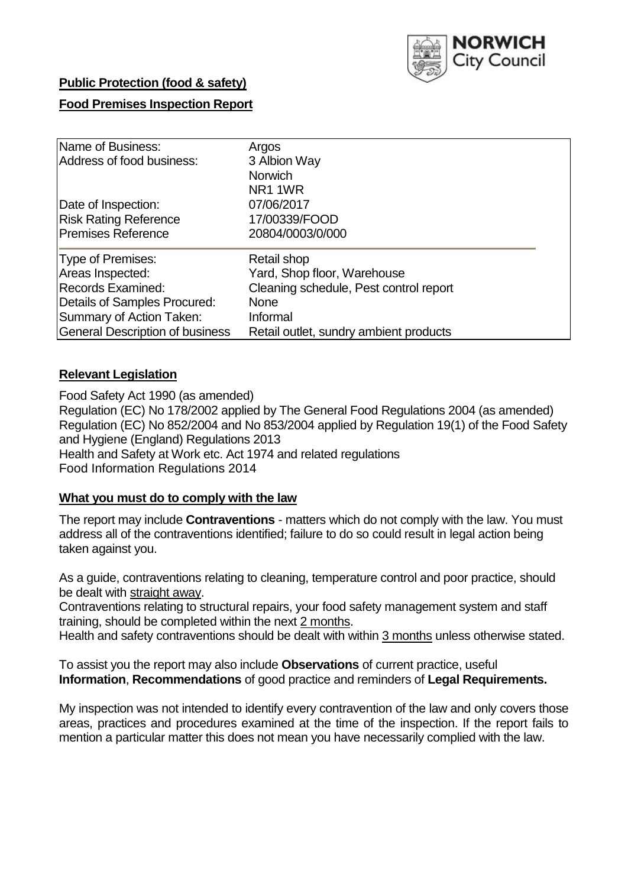

## **Public Protection (food & safety)**

# **Food Premises Inspection Report**

| Name of Business:                      | Argos                                  |
|----------------------------------------|----------------------------------------|
| Address of food business:              | 3 Albion Way                           |
|                                        | <b>Norwich</b>                         |
|                                        | NR1 1WR                                |
| Date of Inspection:                    | 07/06/2017                             |
| <b>Risk Rating Reference</b>           | 17/00339/FOOD                          |
| <b>Premises Reference</b>              | 20804/0003/0/000                       |
| Type of Premises:                      | Retail shop                            |
| Areas Inspected:                       | Yard, Shop floor, Warehouse            |
| Records Examined:                      | Cleaning schedule, Pest control report |
| Details of Samples Procured:           | <b>None</b>                            |
| Summary of Action Taken:               | Informal                               |
| <b>General Description of business</b> | Retail outlet, sundry ambient products |

## **Relevant Legislation**

Food Safety Act 1990 (as amended) Regulation (EC) No 178/2002 applied by The General Food Regulations 2004 (as amended) Regulation (EC) No 852/2004 and No 853/2004 applied by Regulation 19(1) of the Food Safety and Hygiene (England) Regulations 2013 Health and Safety at Work etc. Act 1974 and related regulations Food Information Regulations 2014

#### **What you must do to comply with the law**

The report may include **Contraventions** - matters which do not comply with the law. You must address all of the contraventions identified; failure to do so could result in legal action being taken against you.

As a guide, contraventions relating to cleaning, temperature control and poor practice, should be dealt with straight away.

Contraventions relating to structural repairs, your food safety management system and staff training, should be completed within the next 2 months.

Health and safety contraventions should be dealt with within 3 months unless otherwise stated.

To assist you the report may also include **Observations** of current practice, useful **Information**, **Recommendations** of good practice and reminders of **Legal Requirements.**

My inspection was not intended to identify every contravention of the law and only covers those areas, practices and procedures examined at the time of the inspection. If the report fails to mention a particular matter this does not mean you have necessarily complied with the law.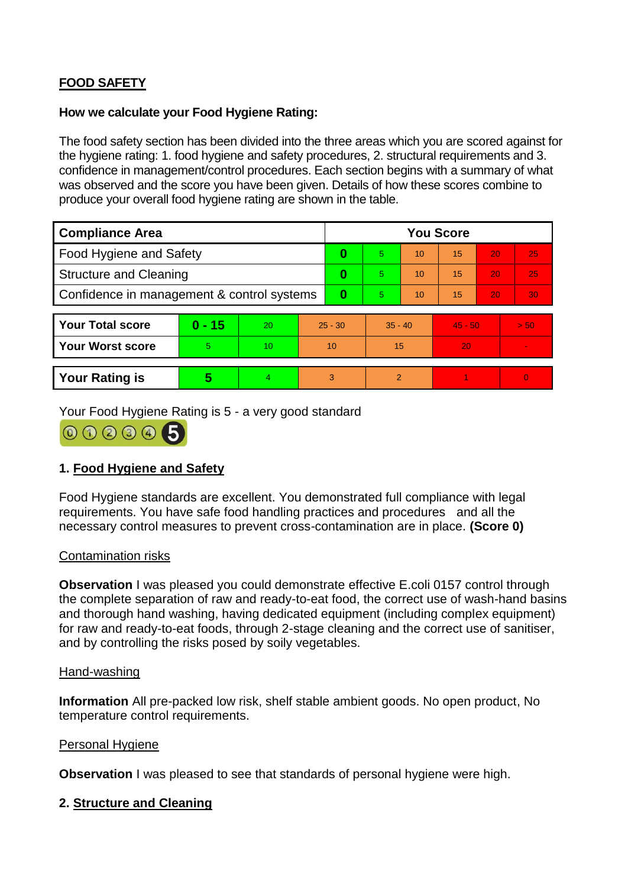# **FOOD SAFETY**

### **How we calculate your Food Hygiene Rating:**

The food safety section has been divided into the three areas which you are scored against for the hygiene rating: 1. food hygiene and safety procedures, 2. structural requirements and 3. confidence in management/control procedures. Each section begins with a summary of what was observed and the score you have been given. Details of how these scores combine to produce your overall food hygiene rating are shown in the table.

| <b>Compliance Area</b>                     |          |                  |           | <b>You Score</b> |                |    |           |    |                |  |  |
|--------------------------------------------|----------|------------------|-----------|------------------|----------------|----|-----------|----|----------------|--|--|
| Food Hygiene and Safety                    |          |                  |           | 0                | 5              | 10 | 15        | 20 | 25             |  |  |
| <b>Structure and Cleaning</b>              |          |                  | 0         | 5                | 10             | 15 | 20        | 25 |                |  |  |
| Confidence in management & control systems |          |                  | $\bf{0}$  | 5.               | 10             | 15 | 20        | 30 |                |  |  |
|                                            |          |                  |           |                  |                |    |           |    |                |  |  |
| <b>Your Total score</b>                    | $0 - 15$ | 20               | $25 - 30$ |                  | $35 - 40$      |    | $45 - 50$ |    | > 50           |  |  |
| <b>Your Worst score</b>                    | 5        | 10 <sup>10</sup> | 10        |                  | 15             |    | 20        |    | $\blacksquare$ |  |  |
|                                            |          |                  |           |                  |                |    |           |    |                |  |  |
| <b>Your Rating is</b>                      | 5        | $\overline{4}$   | 3         |                  | $\overline{2}$ |    |           |    | $\overline{0}$ |  |  |

Your Food Hygiene Rating is 5 - a very good standard



# **1. Food Hygiene and Safety**

Food Hygiene standards are excellent. You demonstrated full compliance with legal requirements. You have safe food handling practices and procedures and all the necessary control measures to prevent cross-contamination are in place. **(Score 0)**

#### Contamination risks

**Observation** I was pleased you could demonstrate effective E.coli 0157 control through the complete separation of raw and ready-to-eat food, the correct use of wash-hand basins and thorough hand washing, having dedicated equipment (including complex equipment) for raw and ready-to-eat foods, through 2-stage cleaning and the correct use of sanitiser, and by controlling the risks posed by soily vegetables.

#### Hand-washing

**Information** All pre-packed low risk, shelf stable ambient goods. No open product, No temperature control requirements.

#### Personal Hygiene

**Observation** I was pleased to see that standards of personal hygiene were high.

# **2. Structure and Cleaning**